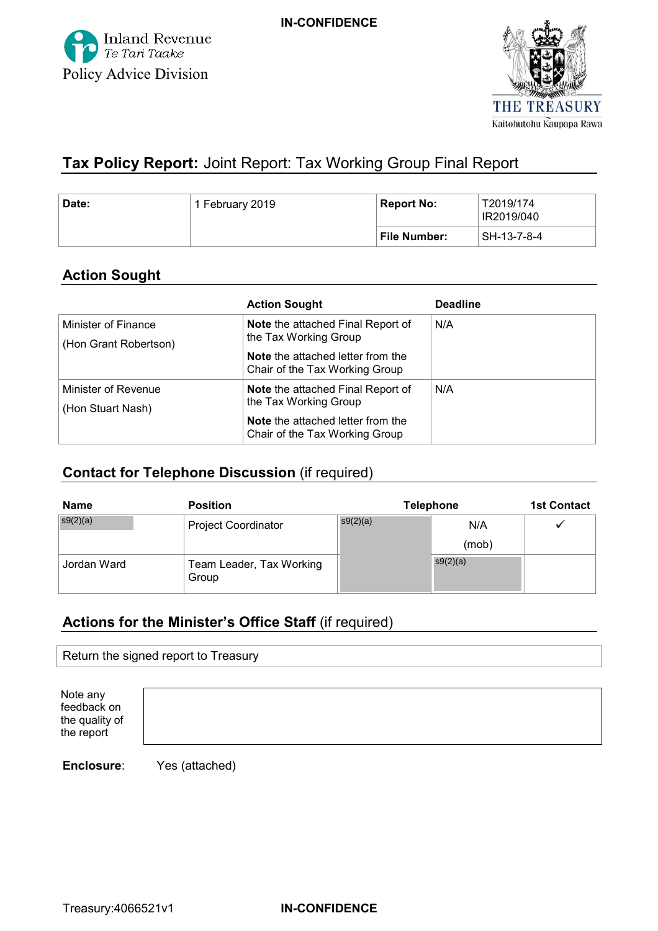



# **Tax Policy Report:** Joint Report: Tax Working Group Final Report

| Date: | 1 February 2019 | ' Report No:        | T2019/174<br>IR2019/040 |
|-------|-----------------|---------------------|-------------------------|
|       |                 | <b>File Number:</b> | SH-13-7-8-4             |

### **Action Sought**

|                       | <b>Action Sought</b>                     | <b>Deadline</b> |  |
|-----------------------|------------------------------------------|-----------------|--|
| Minister of Finance   | <b>Note</b> the attached Final Report of | N/A             |  |
| (Hon Grant Robertson) | the Tax Working Group                    |                 |  |
|                       | <b>Note</b> the attached letter from the |                 |  |
|                       | Chair of the Tax Working Group           |                 |  |
| Minister of Revenue   | <b>Note</b> the attached Final Report of | N/A             |  |
| (Hon Stuart Nash)     | the Tax Working Group                    |                 |  |
|                       | <b>Note</b> the attached letter from the |                 |  |
|                       | Chair of the Tax Working Group           |                 |  |

### **Contact for Telephone Discussion** (if required)

| <b>Name</b> | <b>Position</b>                   | <b>Telephone</b> |          | <b>1st Contact</b> |
|-------------|-----------------------------------|------------------|----------|--------------------|
| s9(2)(a)    | <b>Project Coordinator</b>        | s9(2)(a)         | N/A      |                    |
|             |                                   |                  | (mob)    |                    |
| Jordan Ward | Team Leader, Tax Working<br>Group |                  | s9(2)(a) |                    |

## **Actions for the Minister's Office Staff** (if required)

| Return the signed report to Treasury |  |  |
|--------------------------------------|--|--|
|--------------------------------------|--|--|

 Note any the quality of the report feedback on

**Enclosure**: Yes (attached)